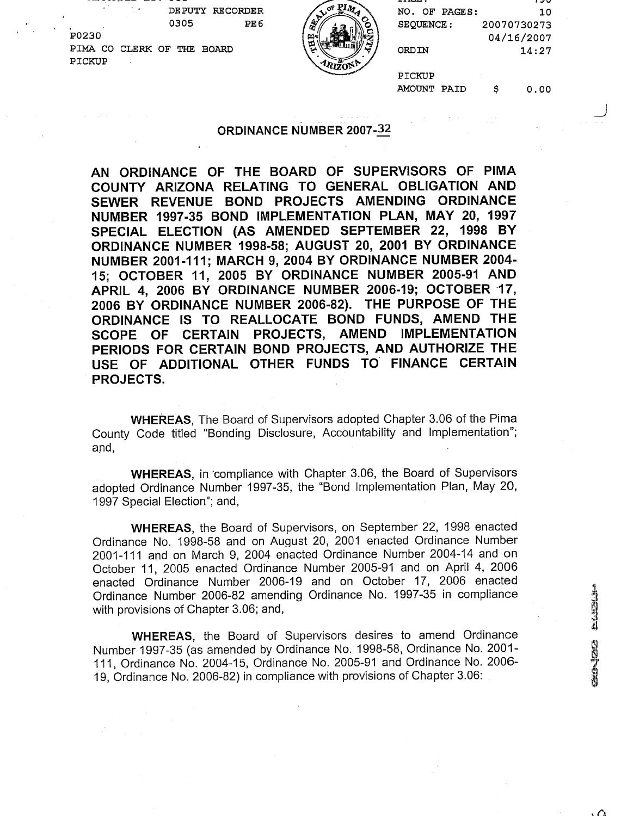|                      |                      | <b>RECORDER</b><br><b>DE PUTY</b> | PIM<br>$\sigma_{\text{g}}$ | ------<br>NO.<br>PAGES:<br>OF. | , 20<br>10  |
|----------------------|----------------------|-----------------------------------|----------------------------|--------------------------------|-------------|
| $\mathbf{r}^{\star}$ |                      | 0305<br>PE <sub>6</sub>           | D<br>G.<br>Ø1              | SEQUENCE:                      | 20070730273 |
|                      | P0230                |                                   | 国。                         |                                | 04/16/2007  |
|                      | PIMA<br>CO.<br>CLERK | <b>BOARD</b><br>THE<br>OF         | <u>۔</u>                   | ORDIN                          | 14:27       |
|                      | PICKUP               |                                   | <b>ARIZONE</b>             | PICKUP                         |             |

AMOUNT PAID \$ 0.00

J

#### ORDINANCE NUMBER **2007-2**

AN ORDINANCE OF THE BOARD OF SUPERVISORS OF PlMA COUNTY ARIZONA RELATING TO GENERAL OBLIGATION AND SEWER REVENUE BOND PROJECTS AMENDING ORDINANCE NUMBER 1997-35 BOND IMPLEMENTATION PLAN, MAY 20, 1997 SPECIAL ELECTION (AS AMENDED SEPTEMBER 22, 1998 BY ORDINANCE NUMBER 1998-58; AUGUST 20, 2001 BY ORDINANCE NUMBER 2001-111; MARCH 9, 2004 BY ORDINANCE NUMBER 2004- 15; OCTOBER 11, 2005 BY ORDINANCE NUMBER 2005-91 AND APRIL 4, 2006 BY ORDINANCE NUMBER 2006-19; OCTOBER 17, 2006 BY ORDINANCE NUMBER 2006-82). THE PURPOSE OF THE ORDINANCE IS TO REALLOCATE BOND FUNDS, AMEND THE SCOPE OF CERTAIN PROJECTS, AMEND IMPLEMENTATION PERIODS FOR CERTAIN BOND PROJECTS, AND AUTHORIZE THE USE OF ADDITIONAL OTHER FUNDS TO FINANCE CERTAIN PROJECTS.

WHEREAS, The Board of Supervisors adopted Chapter 3.06 of the Pima County Code titled "Bonding Disclosure, Accountability and Implementation"; and,

WHEREAS, in 'compliance with Chapter 3.06, the Board of Supervisors adopted Ordinance Number 1997-35, the "Bond Implementation Plan, May 20, 1997 Special Election"; and,

WHEREAS, the Board of Supervisors, on September 22, 1998 enacted Ordinance No. 1998-58 and on August 20, 2001 enacted Ordinance Number 2001-111 and on March 9, 2004 enacted Ordinance Number 2004-14 and on October 11, 2005 enacted Ordinance Number 2005-91 and on April 4, 2006 enacted Ordinance Number 2006-19 and on October 17, 2006 enacted Ordinance Number 2006-82 amending Ordinance No. 1997-35 in compliance with provisions of Chapter 3.06; and,

WHEREAS, the Board of Supervisors desires to amend Ordinance Number 1997-35 (as amended by Ordinance No. 1998-58, Ordinance No. 2001 - 111, Ordinance No. 2004-15, Ordinance No. 2005-91 and Ordinance No. 2006-19, Ordinance No. 2006-82) in compliance with provisions of Chapter 3.06: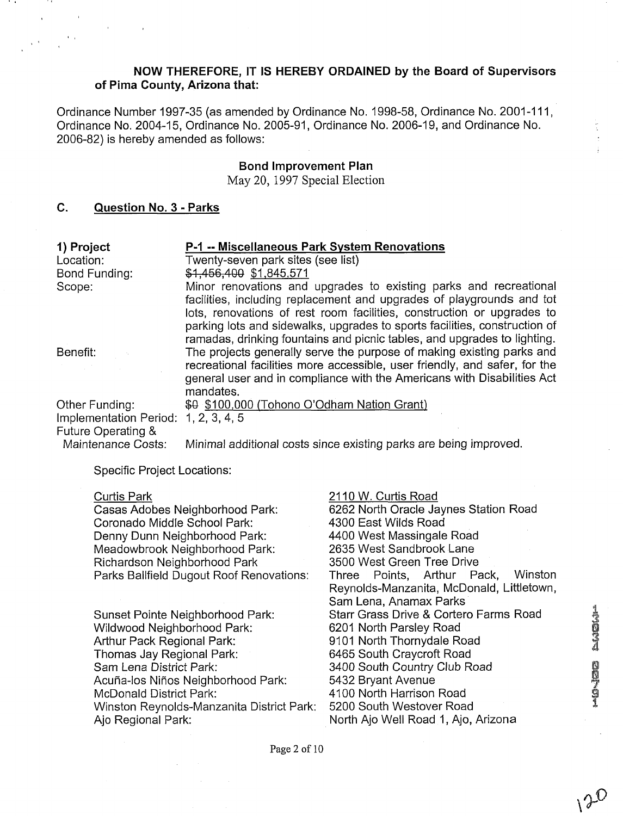## **NOW THEREFORE, IT IS HEREBY ORDAINED by the Board of Supervisors of Pima County, Arizona that:**

Ordinance Number 1997-35 (as amended by Ordinance No. 1998-58, Ordinance No. 2001-111, Ordinance No. 2004-15, Ordinance No. 2005-91, Ordinance No. 2006-19, and Ordinance No. 2006-82) is hereby amended as follows:

## **Bond Improvement Plan**

May **20, 1997** Special Election

# **C. Question No. 3** - **Parks**

| 1) Project                                   | P-1 -- Miscellaneous Park System Renovations                                                                                                                                                                                                                                                              |
|----------------------------------------------|-----------------------------------------------------------------------------------------------------------------------------------------------------------------------------------------------------------------------------------------------------------------------------------------------------------|
| Location:                                    | Twenty-seven park sites (see list)                                                                                                                                                                                                                                                                        |
| Bond Funding:                                | \$1,456,400 \$1,845,571                                                                                                                                                                                                                                                                                   |
| Scope:                                       | Minor renovations and upgrades to existing parks and recreational                                                                                                                                                                                                                                         |
|                                              | facilities, including replacement and upgrades of playgrounds and tot<br>lots, renovations of rest room facilities, construction or upgrades to<br>parking lots and sidewalks, upgrades to sports facilities, construction of<br>ramadas, drinking fountains and picnic tables, and upgrades to lighting. |
| Benefit:                                     | The projects generally serve the purpose of making existing parks and<br>recreational facilities more accessible, user friendly, and safer, for the<br>general user and in compliance with the Americans with Disabilities Act<br>mandates.                                                               |
| Other Funding:                               | \$0 \$100,000 (Tohono O'Odham Nation Grant)                                                                                                                                                                                                                                                               |
| Implementation Period:<br>Future Operating & | 1, 2, 3, 4, 5                                                                                                                                                                                                                                                                                             |
| Maintenance Costs:                           | Minimal additional costs since existing parks are being improved.                                                                                                                                                                                                                                         |

Specific Project Locations:

Curtis Park Casas Adobes Neighborhood Park: Coronado Middle School Park: Denny Dunn Neighborhood Park: Meadowbrook Neighborhood Park: Richardson Neighborhood Park Parks Ballfield Dugout Roof Renovations: Sunset Pointe Neighborhood Park: Wildwood Neighborhood Park: Arthur Pack Regional Park: Thomas Jay Regional Park: Sam Lena District Park: Acuña-los Niños Neighborhood Park: McDonald District Park: Winston Reynolds-Manzanita District Park: Ajo Regional Park: 21 10 W. Curtis Road 6262 North Oracle Jaynes Station Road 4300 East Wilds Road 4400 West Massingale Road 2635 West Sandbrook Lane 3500 West Green Tree Drive Three Points, Arthur Pack, Winston Reynolds-Manzanita, McDonald, Littletown, Sam Lena, Anamax Parks Starr Grass Drive & Cortero Farms Road 6201 North Parsley Road 9101 North Thornydale Road 6465 South Craycroft Road 3400 South Country Club Road 5432 Bryant Avenue 4100 North Harrison Road 5200 South Westover Road North Ajo Well Road I, Ajo, Arizona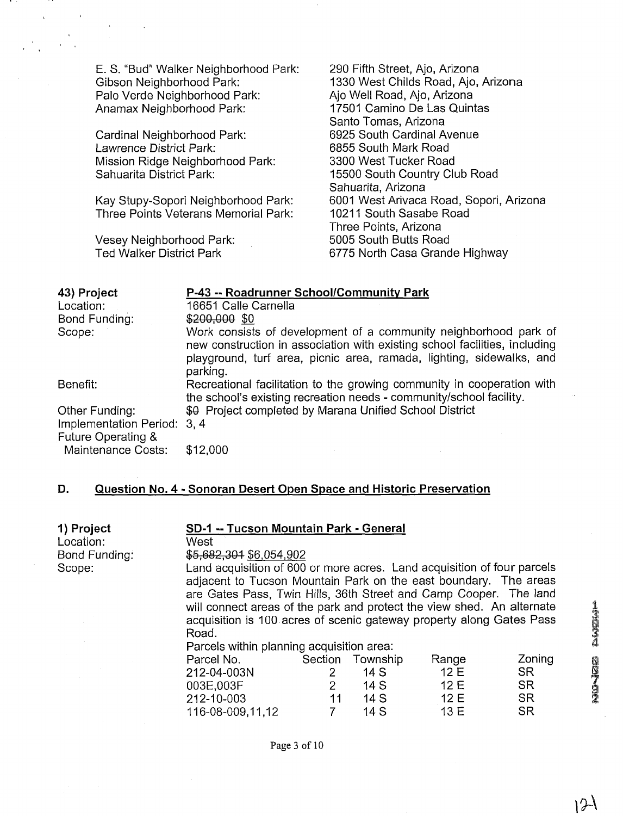E. S. "Bud" Walker Neighborhood Park: Gibson Neighborhood Park: Palo Verde Neighborhood Park: Anamax Neighborhood Park:

Cardinal Neighborhood Park: Lawrence District Park: Mission Ridge Neighborhood Park: Sahuarita District Park:

Kay Stupy-Sopori Neighborhood Park: Three Points Veterans Memorial Park:

Vesey Neighborhood Park: Ted Walker District Park

290 Fifth Street, Ajo, Arizona 1330 West Childs Road, Ajo, Arizona Ajo Well Road, Ajo, Arizona 17501 Camino De Las Quintas Santo Tomas, Arizona 6925 South Cardinal Avenue 6855 South Mark Road 3300 West Tucker Road 15500 South Country Club Road Sahuarita, Arizona 6001 West Arivaca Road, Sopori, Arizona 10211 South Sasabe Road Three Points, Arizona 5005 South Butts Road 6775 North Casa Grande Highway

| 43) Project                                       | P-43 -- Roadrunner School/Community Park                                                                                                                                                                                           |
|---------------------------------------------------|------------------------------------------------------------------------------------------------------------------------------------------------------------------------------------------------------------------------------------|
| Location:                                         | 16651 Calle Carnella                                                                                                                                                                                                               |
| Bond Funding:                                     | \$200,000 \$0                                                                                                                                                                                                                      |
| Scope:                                            | Work consists of development of a community neighborhood park of<br>new construction in association with existing school facilities, including<br>playground, turf area, picnic area, ramada, lighting, sidewalks, and<br>parking. |
| Benefit:                                          | Recreational facilitation to the growing community in cooperation with<br>the school's existing recreation needs - community/school facility.                                                                                      |
| Other Funding:                                    | \$0 Project completed by Marana Unified School District                                                                                                                                                                            |
| Implementation Period: 3, 4<br>Future Operating & |                                                                                                                                                                                                                                    |
| <b>Maintenance Costs:</b>                         | \$12,000                                                                                                                                                                                                                           |

## **D. Question No. 4** - **Sonoran Desert Open Space and Historic Preservation**

| 1) Project    | SD-1 -- Tucson Mountain Park - General                                  |                |                  |       |           |  |  |
|---------------|-------------------------------------------------------------------------|----------------|------------------|-------|-----------|--|--|
| Location:     |                                                                         | West           |                  |       |           |  |  |
| Bond Funding: | \$5,682,304 \$6,054,902                                                 |                |                  |       |           |  |  |
| Scope:        | Land acquisition of 600 or more acres. Land acquisition of four parcels |                |                  |       |           |  |  |
|               | adjacent to Tucson Mountain Park on the east boundary. The areas        |                |                  |       |           |  |  |
|               | are Gates Pass, Twin Hills, 36th Street and Camp Cooper. The land       |                |                  |       |           |  |  |
|               | will connect areas of the park and protect the view shed. An alternate  |                |                  |       |           |  |  |
|               | acquisition is 100 acres of scenic gateway property along Gates Pass    |                |                  |       |           |  |  |
|               | Road.                                                                   |                |                  |       |           |  |  |
|               | Parcels within planning acquisition area:                               |                |                  |       |           |  |  |
|               | Parcel No.                                                              |                | Section Township | Range | Zoning    |  |  |
|               | 212-04-003N                                                             | $\overline{2}$ | 14S              | 12E   | <b>SR</b> |  |  |
|               | 003E.003F                                                               | $\overline{2}$ | 14S              | 12E   | <b>SR</b> |  |  |
|               | 212-10-003                                                              | 11             | 14S              | 12E   | <b>SR</b> |  |  |
|               | 116-08-009.11.12                                                        |                | 14 S             | 13 E  | <b>SR</b> |  |  |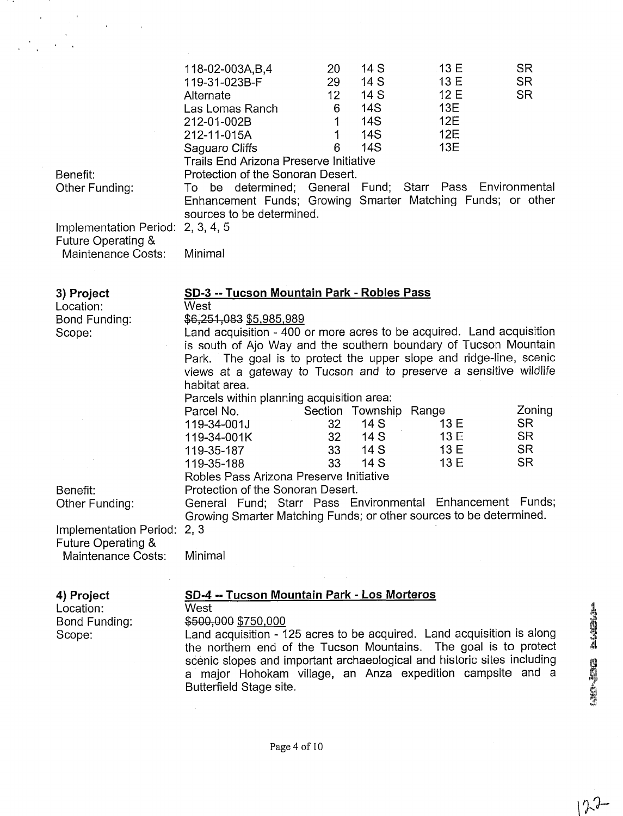| $\mathcal{O}(\mathcal{O}(\log n))$                                 |                                                                                                                                                                                                                                                                                                                                                                                                                                      |                                                                             |                                                        |                                               |
|--------------------------------------------------------------------|--------------------------------------------------------------------------------------------------------------------------------------------------------------------------------------------------------------------------------------------------------------------------------------------------------------------------------------------------------------------------------------------------------------------------------------|-----------------------------------------------------------------------------|--------------------------------------------------------|-----------------------------------------------|
|                                                                    |                                                                                                                                                                                                                                                                                                                                                                                                                                      |                                                                             |                                                        |                                               |
|                                                                    |                                                                                                                                                                                                                                                                                                                                                                                                                                      |                                                                             |                                                        |                                               |
|                                                                    | 118-02-003A, B, 4<br><b>20</b><br>119-31-023B-F<br>29<br>12 <sub>2</sub><br>Alternate<br>Las Lomas Ranch<br>6<br>$\mathbf 1$<br>212-01-002B<br>1<br>212-11-015A<br>Saguaro Cliffs<br>6<br><b>Trails End Arizona Preserve Initiative</b>                                                                                                                                                                                              | 14S<br>14 S<br>14 S<br><b>14S</b><br><b>14S</b><br><b>14S</b><br><b>14S</b> | 13 E<br>13 E<br>12E<br>13E<br><b>12E</b><br>12E<br>13E | <b>SR</b><br><b>SR</b><br><b>SR</b>           |
| Benefit:<br>Other Funding:                                         | Protection of the Sonoran Desert.<br>To be determined; General Fund; Starr Pass Environmental<br>Enhancement Funds; Growing Smarter Matching Funds; or other<br>sources to be determined.                                                                                                                                                                                                                                            |                                                                             |                                                        |                                               |
| Implementation Period: 2, 3, 4, 5<br>Future Operating &            |                                                                                                                                                                                                                                                                                                                                                                                                                                      |                                                                             |                                                        |                                               |
| Maintenance Costs:                                                 | Minimal                                                                                                                                                                                                                                                                                                                                                                                                                              |                                                                             |                                                        |                                               |
|                                                                    |                                                                                                                                                                                                                                                                                                                                                                                                                                      |                                                                             |                                                        |                                               |
| 3) Project<br>Location:<br>Bond Funding:<br>Scope:                 | SD-3 -- Tucson Mountain Park - Robles Pass<br>West<br>\$6,251,083 \$5,985,989<br>Land acquisition - 400 or more acres to be acquired. Land acquisition<br>is south of Ajo Way and the southern boundary of Tucson Mountain<br>Park. The goal is to protect the upper slope and ridge-line, scenic<br>views at a gateway to Tucson and to preserve a sensitive wildlife<br>habitat area.<br>Parcels within planning acquisition area: |                                                                             |                                                        |                                               |
|                                                                    | Parcel No.<br>32<br>119-34-001J<br>32 <sub>2</sub><br>119-34-001K<br>33<br>119-35-187                                                                                                                                                                                                                                                                                                                                                | Section Township Range<br>14 S<br>14 S<br>14 S                              | 13 E<br>13 E<br>13 E                                   | Zoning<br><b>SR</b><br><b>SR</b><br><b>SR</b> |
|                                                                    | 33<br>119-35-188<br>Robles Pass Arizona Preserve Initiative                                                                                                                                                                                                                                                                                                                                                                          | 14 S                                                                        | 13 E                                                   | <b>SR</b>                                     |
| Benefit:<br>Other Funding:                                         | Protection of the Sonoran Desert.<br>General Fund; Starr Pass Environmental Enhancement Funds;<br>Growing Smarter Matching Funds; or other sources to be determined.                                                                                                                                                                                                                                                                 |                                                                             |                                                        |                                               |
| Implementation Period:<br>Future Operating &<br>Maintenance Costs: | 2, 3<br>Minimal                                                                                                                                                                                                                                                                                                                                                                                                                      |                                                                             |                                                        |                                               |
| 4) Project<br>Location:<br>Bond Funding:<br>Scope:                 | SD-4 -- Tucson Mountain Park - Los Morteros<br>West<br>\$500,000 \$750,000<br>Land acquisition - 125 acres to be acquired. Land acquisition is along<br>the northern end of the Tucson Mountains. The goal is to protect<br>scenic slopes and important archaeological and historic sites including<br>a major Hohokam village, an Anza expedition campsite and a<br>Butterfield Stage site.                                         |                                                                             |                                                        |                                               |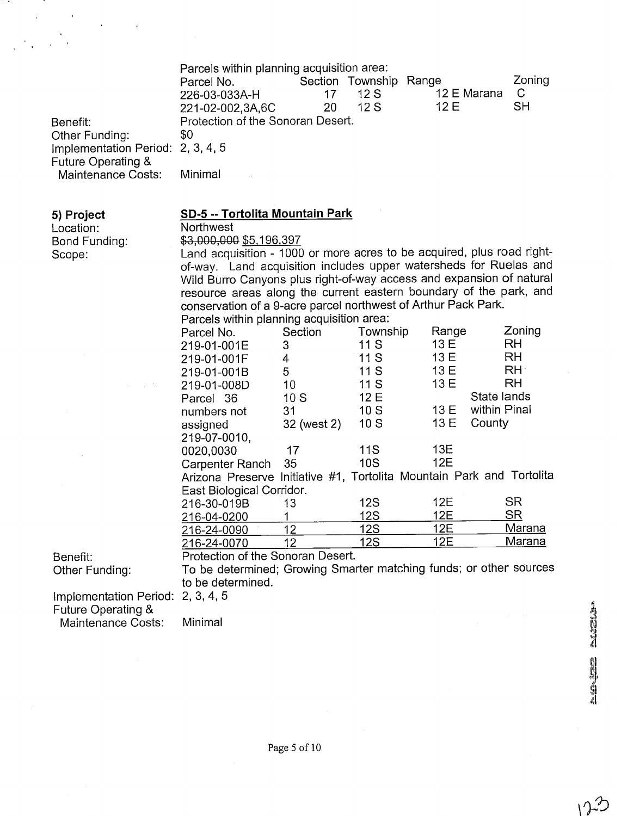| Benefit:<br>Other Funding:<br>Implementation Period:<br>Future Operating &<br>Maintenance Costs: | Parcels within planning acquisition area:<br>Parcel No.<br>226-03-033A-H<br>221-02-002,3A,6C<br>Protection of the Sonoran Desert.<br>\$0<br>2, 3, 4, 5<br>Minimal | 17<br>20    | Section Township Range<br>12S<br>12S | 12 E Marana<br>12 E | Zoning<br>$\mathsf{C}$<br><b>SH</b> |
|--------------------------------------------------------------------------------------------------|-------------------------------------------------------------------------------------------------------------------------------------------------------------------|-------------|--------------------------------------|---------------------|-------------------------------------|
| 5) Project                                                                                       | <b>SD-5 -- Tortolita Mountain Park</b>                                                                                                                            |             |                                      |                     |                                     |
| Location:                                                                                        | Northwest                                                                                                                                                         |             |                                      |                     |                                     |
| Bond Funding:                                                                                    | \$3,000,000 \$5,196,397                                                                                                                                           |             |                                      |                     |                                     |
| Scope:                                                                                           | Land acquisition - 1000 or more acres to be acquired, plus road right-                                                                                            |             |                                      |                     |                                     |
|                                                                                                  | of-way. Land acquisition includes upper watersheds for Ruelas and                                                                                                 |             |                                      |                     |                                     |
|                                                                                                  | Wild Burro Canyons plus right-of-way access and expansion of natural                                                                                              |             |                                      |                     |                                     |
|                                                                                                  | resource areas along the current eastern boundary of the park, and                                                                                                |             |                                      |                     |                                     |
|                                                                                                  | conservation of a 9-acre parcel northwest of Arthur Pack Park.                                                                                                    |             |                                      |                     |                                     |
|                                                                                                  | Parcels within planning acquisition area:                                                                                                                         |             |                                      |                     |                                     |
|                                                                                                  | Parcel No.                                                                                                                                                        | Section     | Township                             | Range               | Zoning                              |
|                                                                                                  | 219-01-001E                                                                                                                                                       | 3           | 11S                                  | 13 E                | <b>RH</b>                           |
|                                                                                                  | 219-01-001F                                                                                                                                                       | 4           | 11S                                  | 13 E                | <b>RH</b>                           |
|                                                                                                  | 219-01-001B                                                                                                                                                       | 5           | 11S                                  | 13 E                | RH:                                 |
|                                                                                                  | 219-01-008D                                                                                                                                                       | 10          | 11S                                  | 13 E                | RH                                  |
|                                                                                                  | Parcel 36                                                                                                                                                         | 10S         | 12 E                                 |                     | State lands                         |
|                                                                                                  | numbers not                                                                                                                                                       | 31          | 10S                                  | 13 E                | within Pinal                        |
|                                                                                                  | assigned                                                                                                                                                          | 32 (west 2) | 10S                                  | 13 E                | County                              |
|                                                                                                  | 219-07-0010,                                                                                                                                                      |             |                                      |                     |                                     |
|                                                                                                  | 0020,0030                                                                                                                                                         | 17          | 11S                                  | 13E                 |                                     |
|                                                                                                  | Carpenter Ranch                                                                                                                                                   | 35          | <b>10S</b>                           | 12E                 |                                     |
|                                                                                                  | Arizona Preserve Initiative #1, Tortolita Mountain Park and Tortolita                                                                                             |             |                                      |                     |                                     |
|                                                                                                  | East Biological Corridor.                                                                                                                                         |             |                                      |                     |                                     |
|                                                                                                  | 216-30-019B                                                                                                                                                       | 13          | <b>12S</b>                           | <b>12E</b>          | <b>SR</b>                           |
|                                                                                                  | 216-04-0200                                                                                                                                                       | 1           | <b>12S</b>                           | 12E                 | <b>SR</b>                           |
|                                                                                                  | 216-24-0090                                                                                                                                                       | 12          | <b>12S</b><br><b>12S</b>             | 12E<br>12E          | Marana<br>Marana                    |
|                                                                                                  | 216-24-0070                                                                                                                                                       | 12          |                                      |                     |                                     |
| Benefit:                                                                                         | Protection of the Sonoran Desert.<br>To be determined; Growing Smarter matching funds; or other sources                                                           |             |                                      |                     |                                     |
| Other Funding:                                                                                   | to be determined.                                                                                                                                                 |             |                                      |                     |                                     |
|                                                                                                  |                                                                                                                                                                   |             |                                      |                     |                                     |
| Implementation Period: 2, 3, 4, 5                                                                |                                                                                                                                                                   |             |                                      |                     |                                     |

Future Operating & Maintenance Costs:

 $\overline{\phantom{a}}$ 

 $\ddot{\phantom{0}}$ 

 $\bar{z}$ 

Minimal

**Miltipedia Political**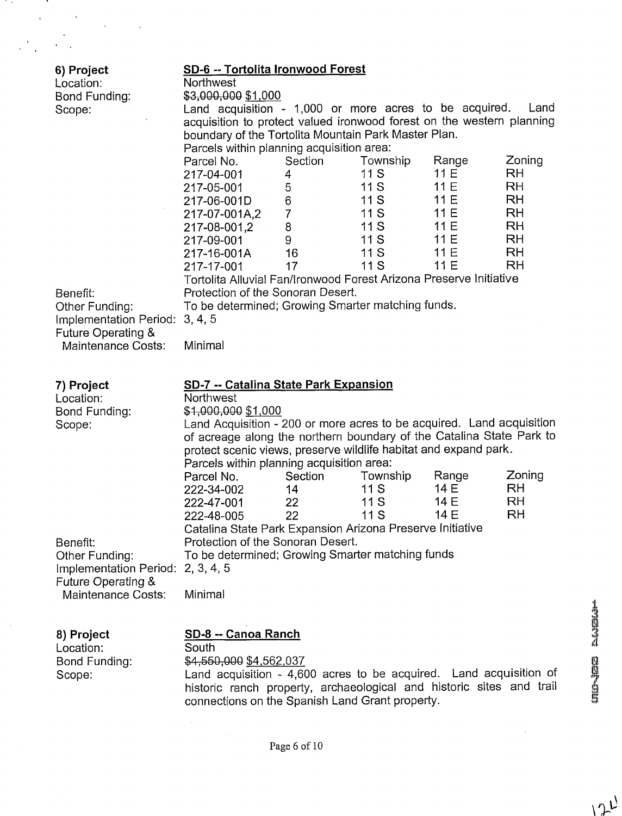| 6) Project<br>Location:<br>Bond Funding:<br>Scope: | SD-6 -- Tortolita Ironwood Forest<br>Northwest<br>\$3,000,000 \$1,000<br>Land acquisition - 1,000 or more acres to be acquired.<br>Land<br>acquisition to protect valued ironwood forest on the western planning<br>boundary of the Tortolita Mountain Park Master Plan.<br>Parcels within planning acquisition area: |                                                          |                                                           |                                                             |                                                                                            |  |
|----------------------------------------------------|-----------------------------------------------------------------------------------------------------------------------------------------------------------------------------------------------------------------------------------------------------------------------------------------------------------------------|----------------------------------------------------------|-----------------------------------------------------------|-------------------------------------------------------------|--------------------------------------------------------------------------------------------|--|
|                                                    | Parcel No.<br>217-04-001<br>217-05-001<br>217-06-001D<br>217-07-001A,2<br>217-08-001,2<br>217-09-001<br>217-16-001A                                                                                                                                                                                                   | Section<br>4<br>5<br>6<br>$\overline{7}$<br>8<br>9<br>16 | Township<br>11S<br>11S<br>11S<br>11S<br>11S<br>11S<br>11S | Range<br>11 E<br>11 E<br>11 E<br>11 E<br>11E<br>11E<br>11 E | Zoning<br>RH<br><b>RH</b><br><b>RH</b><br><b>RH</b><br><b>RH</b><br><b>RH</b><br><b>RH</b> |  |
|                                                    | 217-17-001<br>Tortolita Alluvial Fan/Ironwood Forest Arizona Preserve Initiative                                                                                                                                                                                                                                      | 17                                                       | 11S                                                       | 11 E                                                        | RH                                                                                         |  |
| Benefit:                                           | Protection of the Sonoran Desert.                                                                                                                                                                                                                                                                                     |                                                          |                                                           |                                                             |                                                                                            |  |
| Other Funding:<br>Implementation Period: 3, 4, 5   | To be determined; Growing Smarter matching funds.                                                                                                                                                                                                                                                                     |                                                          |                                                           |                                                             |                                                                                            |  |
| Future Operating &<br>Maintenance Costs:           | Minimal                                                                                                                                                                                                                                                                                                               |                                                          |                                                           |                                                             |                                                                                            |  |
|                                                    |                                                                                                                                                                                                                                                                                                                       |                                                          |                                                           |                                                             |                                                                                            |  |
| 7) Project<br>Location:                            | <b>SD-7 -- Catalina State Park Expansion</b><br>Northwest                                                                                                                                                                                                                                                             |                                                          |                                                           |                                                             |                                                                                            |  |
| Bond Funding:                                      | \$1,000,000 \$1,000                                                                                                                                                                                                                                                                                                   |                                                          |                                                           |                                                             |                                                                                            |  |
| Scope:                                             | Land Acquisition - 200 or more acres to be acquired. Land acquisition<br>of acreage along the northern boundary of the Catalina State Park to<br>protect scenic views, preserve wildlife habitat and expand park.                                                                                                     |                                                          |                                                           |                                                             |                                                                                            |  |
|                                                    | Parcels within planning acquisition area:<br>Parcel No.                                                                                                                                                                                                                                                               | Section                                                  | Township                                                  | Range                                                       | Zoning                                                                                     |  |
|                                                    | 222-34-002                                                                                                                                                                                                                                                                                                            | 14                                                       | 11 S                                                      | 14 E                                                        | RH                                                                                         |  |
|                                                    | 222-47-001                                                                                                                                                                                                                                                                                                            | 22                                                       | 11S<br>11S                                                | 14 E<br>14 E                                                | <b>RH</b><br>RH                                                                            |  |
|                                                    | 222-48-005<br>Catalina State Park Expansion Arizona Preserve Initiative                                                                                                                                                                                                                                               | 22                                                       |                                                           |                                                             |                                                                                            |  |
| Benefit:                                           | Protection of the Sonoran Desert.                                                                                                                                                                                                                                                                                     |                                                          |                                                           |                                                             |                                                                                            |  |
| Other Funding:<br>Implementation Period:           | To be determined; Growing Smarter matching funds<br>2, 3, 4, 5                                                                                                                                                                                                                                                        |                                                          |                                                           |                                                             |                                                                                            |  |
| Future Operating &                                 |                                                                                                                                                                                                                                                                                                                       |                                                          |                                                           |                                                             |                                                                                            |  |
| Maintenance Costs:                                 | Minimal                                                                                                                                                                                                                                                                                                               |                                                          |                                                           |                                                             |                                                                                            |  |
|                                                    | SD-8 -- Canoa Ranch                                                                                                                                                                                                                                                                                                   |                                                          |                                                           |                                                             |                                                                                            |  |
| 8) Project<br>Location:                            | South                                                                                                                                                                                                                                                                                                                 |                                                          |                                                           |                                                             |                                                                                            |  |
| Bond Funding:                                      | \$4,550,000 \$4,562,037                                                                                                                                                                                                                                                                                               |                                                          |                                                           |                                                             |                                                                                            |  |
| Scope:                                             | Land acquisition - 4,600 acres to be acquired. Land acquisition of<br>historic ranch property, archaeological and historic sites and trail                                                                                                                                                                            |                                                          |                                                           |                                                             |                                                                                            |  |
|                                                    | connections on the Spanish Land Grant property.                                                                                                                                                                                                                                                                       |                                                          |                                                           |                                                             |                                                                                            |  |

11 F

and the state

 $\frac{1}{2}$ 

 $\ddot{\phantom{a}}$ 

J,

**THE TEST NATION** 

 $12L$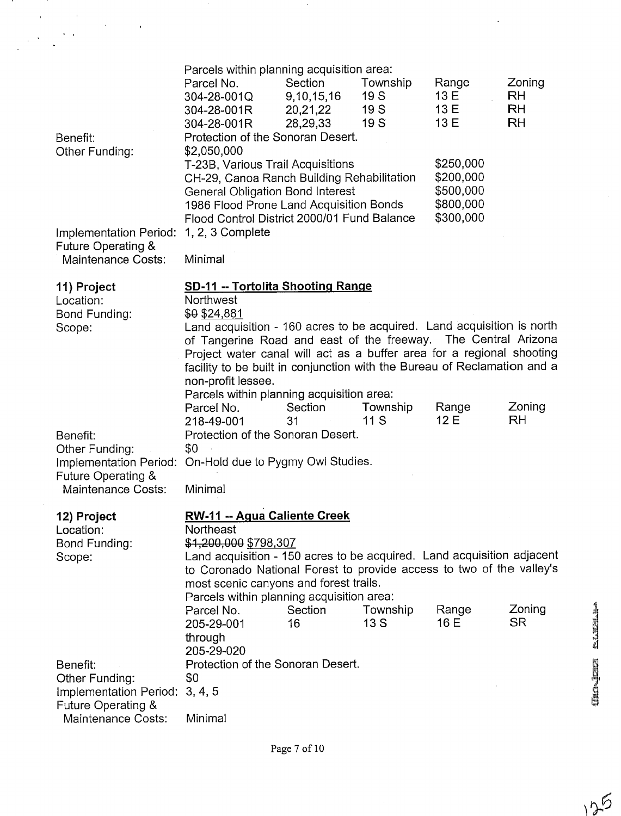| Benefit:<br>Other Funding:                                                           | Parcels within planning acquisition area:<br>Parcel No.<br>304-28-001Q<br>304-28-001R<br>304-28-001R<br>Protection of the Sonoran Desert.<br>\$2,050,000                                                                                                                               | Section<br>9,10,15,16<br>20,21,22<br>28,29,33                                                                                                                                                                                                                                         | Township<br>19S<br>19 S<br>19S | Range<br>13 E<br>13 E<br>13 E | Zoning<br><b>RH</b><br><b>RH</b><br>RH |  |
|--------------------------------------------------------------------------------------|----------------------------------------------------------------------------------------------------------------------------------------------------------------------------------------------------------------------------------------------------------------------------------------|---------------------------------------------------------------------------------------------------------------------------------------------------------------------------------------------------------------------------------------------------------------------------------------|--------------------------------|-------------------------------|----------------------------------------|--|
|                                                                                      | 1, 2, 3 Complete                                                                                                                                                                                                                                                                       | \$250,000<br>T-23B, Various Trail Acquisitions<br>\$200,000<br>CH-29, Canoa Ranch Building Rehabilitation<br>\$500,000<br><b>General Obligation Bond Interest</b><br>\$800,000<br>1986 Flood Prone Land Acquisition Bonds<br>\$300,000<br>Flood Control District 2000/01 Fund Balance |                                |                               |                                        |  |
| Implementation Period:<br><b>Future Operating &amp;</b><br><b>Maintenance Costs:</b> | Minimal                                                                                                                                                                                                                                                                                |                                                                                                                                                                                                                                                                                       |                                |                               |                                        |  |
| 11) Project<br>Location:<br>Bond Funding:<br>Scope:                                  | <b>SD-11 -- Tortolita Shooting Range</b><br>Northwest<br>\$0 \$24,881<br>Land acquisition - 160 acres to be acquired. Land acquisition is north                                                                                                                                        |                                                                                                                                                                                                                                                                                       |                                |                               |                                        |  |
|                                                                                      | of Tangerine Road and east of the freeway. The Central Arizona<br>Project water canal will act as a buffer area for a regional shooting<br>facility to be built in conjunction with the Bureau of Reclamation and a<br>non-profit lessee.<br>Parcels within planning acquisition area: |                                                                                                                                                                                                                                                                                       |                                |                               |                                        |  |
| Benefit:<br>Other Funding:<br>Implementation Period:                                 | Parcel No.<br>218-49-001<br>Protection of the Sonoran Desert.<br>\$0<br>On-Hold due to Pygmy Owl Studies.                                                                                                                                                                              | Section<br>31                                                                                                                                                                                                                                                                         | Township<br>11 S               | Range<br>12 E                 | Zoning<br><b>RH</b>                    |  |
| Future Operating &<br>Maintenance Costs:                                             | Minimal                                                                                                                                                                                                                                                                                |                                                                                                                                                                                                                                                                                       |                                |                               |                                        |  |
| 12) Project<br>Location:                                                             | RW-11 -- Agua Caliente Creek<br>Northeast                                                                                                                                                                                                                                              |                                                                                                                                                                                                                                                                                       |                                |                               |                                        |  |
| Bond Funding:<br>Scope:                                                              | \$1,200,000 \$798,307<br>Land acquisition - 150 acres to be acquired. Land acquisition adjacent<br>to Coronado National Forest to provide access to two of the valley's<br>most scenic canyons and forest trails.<br>Parcels within planning acquisition area:                         |                                                                                                                                                                                                                                                                                       |                                |                               |                                        |  |
|                                                                                      | Parcel No.<br>205-29-001<br>through<br>205-29-020                                                                                                                                                                                                                                      | Section<br>16                                                                                                                                                                                                                                                                         | Township<br>13S                | Range<br>16 E                 | Zoning<br><b>SR</b>                    |  |
| Benefit:<br>Other Funding:                                                           | Protection of the Sonoran Desert.<br>\$0                                                                                                                                                                                                                                               |                                                                                                                                                                                                                                                                                       |                                |                               |                                        |  |
| Implementation Period:<br>Future Operating &                                         | 3, 4, 5                                                                                                                                                                                                                                                                                |                                                                                                                                                                                                                                                                                       |                                |                               |                                        |  |
| Maintenance Costs:                                                                   | Minimal                                                                                                                                                                                                                                                                                |                                                                                                                                                                                                                                                                                       |                                |                               |                                        |  |

 $\bar{\gamma}$ 

 $\ddot{\phantom{0}}$ 

 $\mathcal{L}$ 

in 19

 $\frac{1}{2}$ 

 $\frac{1}{2}$ 

 $\frac{1}{2}$  ,  $\frac{1}{2}$  ,  $\frac{1}{2}$ 

 $\frac{1}{\sqrt{2}}$ 

**MO-1252 EAGEMA** 

125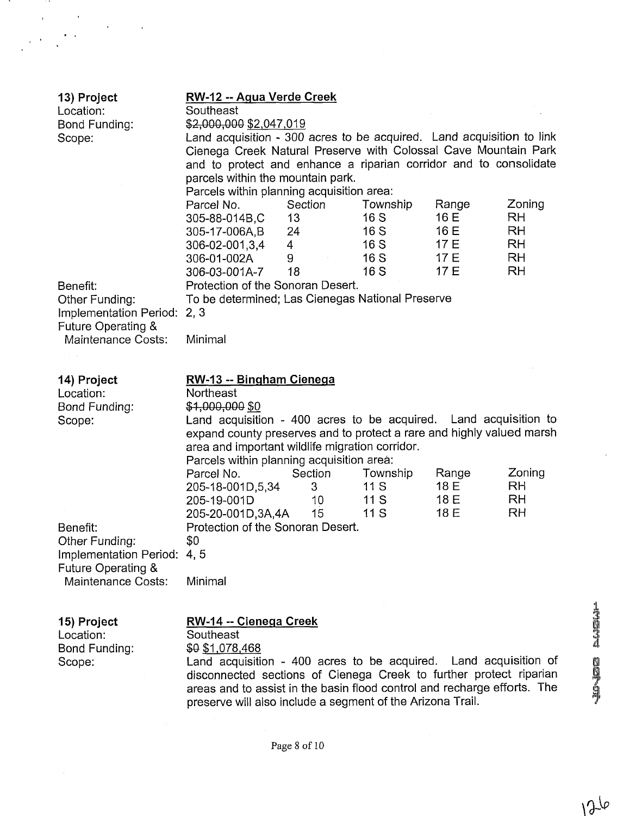| 13) Project<br>Location:<br>Bond Funding:<br>Scope:                                                          | <u> RW-12 -- Agua Verde Creek</u><br>Southeast<br>\$2,000,000 \$2,047,019<br>Land acquisition - 300 acres to be acquired. Land acquisition to link<br>Cienega Creek Natural Preserve with Colossal Cave Mountain Park<br>and to protect and enhance a riparian corridor and to consolidate<br>parcels within the mountain park. |                                               |                                               |                                                                         |  |
|--------------------------------------------------------------------------------------------------------------|---------------------------------------------------------------------------------------------------------------------------------------------------------------------------------------------------------------------------------------------------------------------------------------------------------------------------------|-----------------------------------------------|-----------------------------------------------|-------------------------------------------------------------------------|--|
|                                                                                                              | Parcels within planning acquisition area:<br>Section<br>Parcel No.<br>305-88-014B,C<br>13<br>24<br>305-17-006A,B<br>$\overline{4}$<br>306-02-001,3,4<br>306-01-002A<br>9<br>18<br>306-03-001A-7                                                                                                                                 | Township<br>16 S<br>16S<br>16S<br>16S<br>16 S | Range<br>16 E<br>16 E<br>17 E<br>17 E<br>17 E | Zoning<br><b>RH</b><br><b>RH</b><br><b>RH</b><br><b>RH</b><br><b>RH</b> |  |
| Benefit:<br>Other Funding:<br>Implementation Period: 2, 3<br>Future Operating &<br><b>Maintenance Costs:</b> | Protection of the Sonoran Desert.<br>To be determined; Las Cienegas National Preserve<br>Minimal                                                                                                                                                                                                                                |                                               |                                               |                                                                         |  |
| 14) Project<br>Location:<br>Bond Funding:<br>Scope:                                                          | RW-13 -- Bingham Cienega<br>Northeast<br>\$1,000,000 \$0<br>Land acquisition - 400 acres to be acquired. Land acquisition to<br>expand county preserves and to protect a rare and highly valued marsh<br>area and important wildlife migration corridor.                                                                        |                                               |                                               |                                                                         |  |
| Benefit:<br>Other Funding:<br>Implementation Period: 4, 5<br>Future Operating &<br>Maintenance Costs:        | Parcels within planning acquisition area:<br>Section<br>Parcel No.<br>205-18-001D,5,34<br>3<br>205-19-001D<br>10 <sup>°</sup><br>15 <sup>15</sup><br>205-20-001D,3A,4A<br>Protection of the Sonoran Desert.<br>\$0<br>Minimal                                                                                                   | Township<br>11S<br>11S<br>11S                 | Range<br>18 E<br>18 E<br>18 E                 | Zoning<br><b>RH</b><br><b>RH</b><br><b>RH</b>                           |  |
| 15) Project<br>Location:<br>Bond Funding:                                                                    | RW-14 -- Cienega Creek<br>Southeast<br>\$0 \$1,078,468                                                                                                                                                                                                                                                                          |                                               |                                               |                                                                         |  |

 $\overline{\phantom{a}}$ 

 $\overline{\phantom{a}}$ 

Scope: Cand acquisition - 400 acres to be acquired. Land acquisition of disconnected sections of Cienega Creek to further protect riparian areas and to assist in the basin flood control and recharge efforts. The preserve will also include a segment of the Arizona Trail.

**NONE Existin**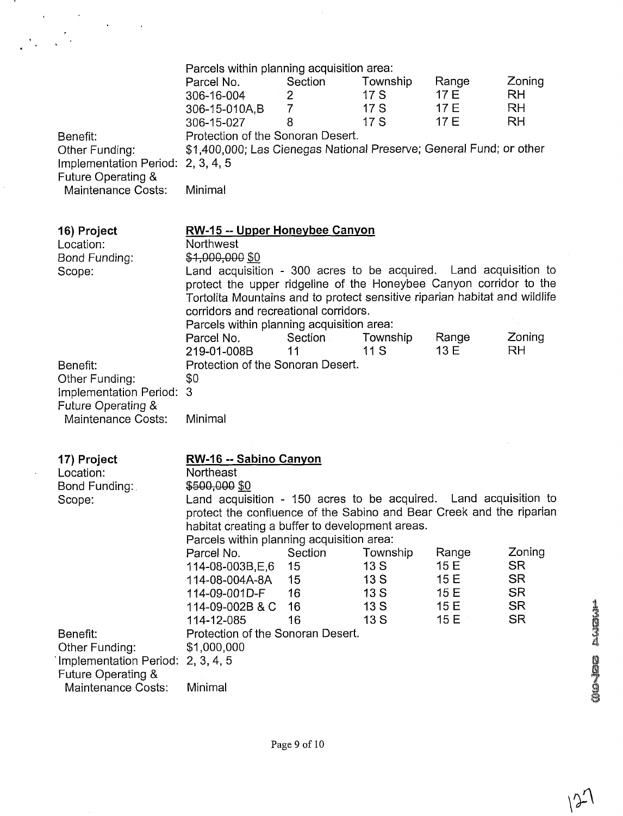| Benefit:<br>Other Funding:<br>Implementation Period: 2, 3, 4, 5<br>Future Operating &<br><b>Maintenance Costs:</b> | Parcels within planning acquisition area:<br>Parcel No.<br>306-16-004<br>306-15-010A,B<br>306-15-027<br>Protection of the Sonoran Desert.<br>\$1,400,000; Las Cienegas National Preserve; General Fund; or other<br>Minimal                                                                                                                                                                                      | Section<br>$2^{\circ}$<br>$\overline{7}$<br>8 | Township<br>17S<br>17S<br>17 S | Range<br>17 E<br>17 E<br>17 E | Zoning<br><b>RH</b><br><b>RH</b><br><b>RH</b>    |
|--------------------------------------------------------------------------------------------------------------------|------------------------------------------------------------------------------------------------------------------------------------------------------------------------------------------------------------------------------------------------------------------------------------------------------------------------------------------------------------------------------------------------------------------|-----------------------------------------------|--------------------------------|-------------------------------|--------------------------------------------------|
| 16) Project<br>Location:<br>Bond Funding:<br>Scope:                                                                | <b>RW-15 -- Upper Honeybee Canyon</b><br>Northwest<br>\$1,000,000 \$0<br>Land acquisition - 300 acres to be acquired. Land acquisition to<br>protect the upper ridgeline of the Honeybee Canyon corridor to the<br>Tortolita Mountains and to protect sensitive riparian habitat and wildlife<br>corridors and recreational corridors.<br>Parcels within planning acquisition area:<br>Parcel No.<br>219-01-008B | Section<br>11                                 | Township<br>11S                | Range<br>13 E                 | Zoning<br>RH.                                    |
| Benefit:<br>Other Funding:<br>Implementation Period:<br>Future Operating &<br><b>Maintenance Costs:</b>            | Protection of the Sonoran Desert.<br>\$0<br>3<br>Minimal                                                                                                                                                                                                                                                                                                                                                         |                                               |                                |                               |                                                  |
| 17) Project<br>Location:<br>Bond Funding:<br>Scope:                                                                | RW-16 -- Sabino Canyon<br>Northeast<br>\$500,000 \$0<br>Land acquisition - 150 acres to be acquired. Land acquisition to<br>protect the confluence of the Sabino and Bear Creek and the riparian<br>habitat creating a buffer to development areas.<br>Parcels within planning acquisition area:<br>Parcel No.<br>114-08-003B,E,6                                                                                | Section<br>15                                 | Township<br>13S                | Range<br>15 E                 | Zoning<br><b>SR</b>                              |
| Benefit:<br>Other Funding:<br>Implementation Period: 2, 3, 4, 5<br>Future Operating &<br><b>Maintenance Costs:</b> | 114-08-004A-8A<br>114-09-001D-F<br>114-09-002B & C<br>114-12-085<br>Protection of the Sonoran Desert.<br>\$1,000,000<br>Minimal                                                                                                                                                                                                                                                                                  | 15<br>16<br>16<br>16                          | 13S<br>13S<br>13S<br>13S       | 15 E<br>15 E<br>15 E<br>15E   | <b>SR</b><br><b>SR</b><br><b>SR</b><br><b>SR</b> |